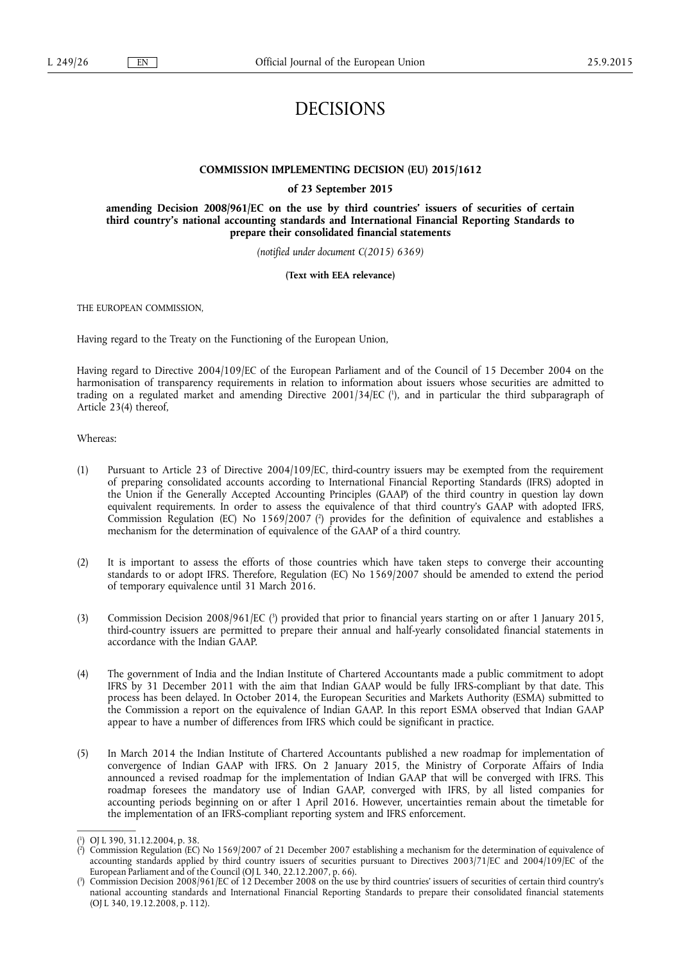## DECISIONS

## **COMMISSION IMPLEMENTING DECISION (EU) 2015/1612**

**of 23 September 2015** 

**amending Decision 2008/961/EC on the use by third countries' issuers of securities of certain third country's national accounting standards and International Financial Reporting Standards to prepare their consolidated financial statements** 

*(notified under document C(2015) 6369)* 

**(Text with EEA relevance)** 

THE EUROPEAN COMMISSION,

Having regard to the Treaty on the Functioning of the European Union,

Having regard to Directive 2004/109/EC of the European Parliament and of the Council of 15 December 2004 on the harmonisation of transparency requirements in relation to information about issuers whose securities are admitted to trading on a regulated market and amending Directive 2001/34/EC ( 1 ), and in particular the third subparagraph of Article 23(4) thereof,

## Whereas:

- (1) Pursuant to Article 23 of Directive 2004/109/EC, third-country issuers may be exempted from the requirement of preparing consolidated accounts according to International Financial Reporting Standards (IFRS) adopted in the Union if the Generally Accepted Accounting Principles (GAAP) of the third country in question lay down equivalent requirements. In order to assess the equivalence of that third country's GAAP with adopted IFRS, Commission Regulation (EC) No 1569/2007 (<sup>2</sup>) provides for the definition of equivalence and establishes a mechanism for the determination of equivalence of the GAAP of a third country.
- (2) It is important to assess the efforts of those countries which have taken steps to converge their accounting standards to or adopt IFRS. Therefore, Regulation (EC) No 1569/2007 should be amended to extend the period of temporary equivalence until 31 March 2016.
- (3) Commission Decision 2008/961/EC (<sup>3</sup>) provided that prior to financial years starting on or after 1 January 2015, third-country issuers are permitted to prepare their annual and half-yearly consolidated financial statements in accordance with the Indian GAAP.
- (4) The government of India and the Indian Institute of Chartered Accountants made a public commitment to adopt IFRS by 31 December 2011 with the aim that Indian GAAP would be fully IFRS-compliant by that date. This process has been delayed. In October 2014, the European Securities and Markets Authority (ESMA) submitted to the Commission a report on the equivalence of Indian GAAP. In this report ESMA observed that Indian GAAP appear to have a number of differences from IFRS which could be significant in practice.
- (5) In March 2014 the Indian Institute of Chartered Accountants published a new roadmap for implementation of convergence of Indian GAAP with IFRS. On 2 January 2015, the Ministry of Corporate Affairs of India announced a revised roadmap for the implementation of Indian GAAP that will be converged with IFRS. This roadmap foresees the mandatory use of Indian GAAP, converged with IFRS, by all listed companies for accounting periods beginning on or after 1 April 2016. However, uncertainties remain about the timetable for the implementation of an IFRS-compliant reporting system and IFRS enforcement.

<sup>(</sup> 1 ) OJ L 390, 31.12.2004, p. 38.

<sup>(</sup> 2 ) Commission Regulation (EC) No 1569/2007 of 21 December 2007 establishing a mechanism for the determination of equivalence of accounting standards applied by third country issuers of securities pursuant to Directives 2003/71/EC and 2004/109/EC of the European Parliament and of the Council (OJ L 340, 22.12.2007, p. 66).

<sup>(</sup> 3 ) Commission Decision 2008/961/EC of 12 December 2008 on the use by third countries' issuers of securities of certain third country's national accounting standards and International Financial Reporting Standards to prepare their consolidated financial statements (OJ L 340, 19.12.2008, p. 112).